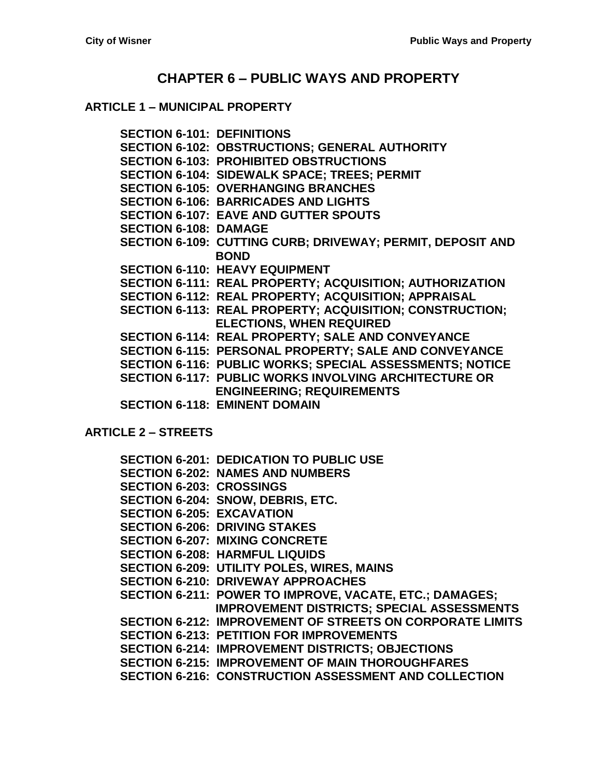# **CHAPTER 6 – [PUBLIC WAYS AND PROPERTY](#page-2-0)**

### **ARTICLE 1 – [MUNICIPAL PROPERTY](#page-2-1)**

**[SECTION 6-101: DEFINITIONS](#page-2-2) [SECTION 6-102: OBSTRUCTIONS; GENERAL AUTHORITY](#page-2-3) [SECTION 6-103: PROHIBITED OBSTRUCTIONS](#page-2-4) [SECTION 6-104: SIDEWALK SPACE; TREES; PERMIT](#page-4-0) [SECTION 6-105: OVERHANGING BRANCHES](#page-4-1) [SECTION 6-106: BARRICADES AND](#page-5-0) LIGHTS [SECTION 6-107: EAVE AND GUTTER SPOUTS](#page-5-1) [SECTION 6-108: DAMAGE](#page-5-2) [SECTION 6-109: CUTTING CURB; DRIVEWAY; PERMIT, DEPOSIT AND](#page-5-3)  [BOND](#page-5-3) [SECTION 6-110: HEAVY EQUIPMENT](#page-6-0) [SECTION 6-111: REAL PROPERTY;](#page-7-0) ACQUISITION; AUTHORIZATION [SECTION 6-112: REAL PROPERTY;](#page-7-1) ACQUISITION; APPRAISAL [SECTION 6-113: REAL PROPERTY;](#page-7-2) ACQUISITION; CONSTRUCTION; [ELECTIONS, WHEN REQUIRED](#page-7-2) [SECTION 6-114: REAL PROPERTY;](#page-8-0) SALE AND CONVEYANCE [SECTION 6-115: PERSONAL PROPERTY; SALE AND CONVEYANCE](#page-9-0) [SECTION 6-116: PUBLIC WORKS; SPECIAL ASSESSMENTS;](#page-9-1) NOTICE [SECTION 6-117: PUBLIC WORKS INVOLVING ARCHITECTURE OR](#page-10-0)  [ENGINEERING; REQUIREMENTS](#page-10-0) [SECTION 6-118: EMINENT DOMAIN](#page-11-0)**

**[ARTICLE 2 –](#page-14-0) STREETS**

|                                  | <b>SECTION 6-201: DEDICATION TO PUBLIC USE</b>                   |
|----------------------------------|------------------------------------------------------------------|
|                                  | <b>SECTION 6-202: NAMES AND NUMBERS</b>                          |
| <b>SECTION 6-203: CROSSINGS</b>  |                                                                  |
|                                  | SECTION 6-204: SNOW, DEBRIS, ETC.                                |
| <b>SECTION 6-205: EXCAVATION</b> |                                                                  |
|                                  | <b>SECTION 6-206: DRIVING STAKES</b>                             |
|                                  | <b>SECTION 6-207: MIXING CONCRETE</b>                            |
|                                  | <b>SECTION 6-208: HARMFUL LIQUIDS</b>                            |
|                                  | <b>SECTION 6-209: UTILITY POLES, WIRES, MAINS</b>                |
|                                  | <b>SECTION 6-210: DRIVEWAY APPROACHES</b>                        |
|                                  | SECTION 6-211: POWER TO IMPROVE, VACATE, ETC.; DAMAGES;          |
|                                  | <b>IMPROVEMENT DISTRICTS; SPECIAL ASSESSMENTS</b>                |
|                                  | <b>SECTION 6-212: IMPROVEMENT OF STREETS ON CORPORATE LIMITS</b> |
|                                  | <b>SECTION 6-213: PETITION FOR IMPROVEMENTS</b>                  |
|                                  | <b>SECTION 6-214: IMPROVEMENT DISTRICTS; OBJECTIONS</b>          |
|                                  | <b>SECTION 6-215: IMPROVEMENT OF MAIN THOROUGHFARES</b>          |
|                                  | <b>SECTION 6-216: CONSTRUCTION ASSESSMENT AND COLLECTION</b>     |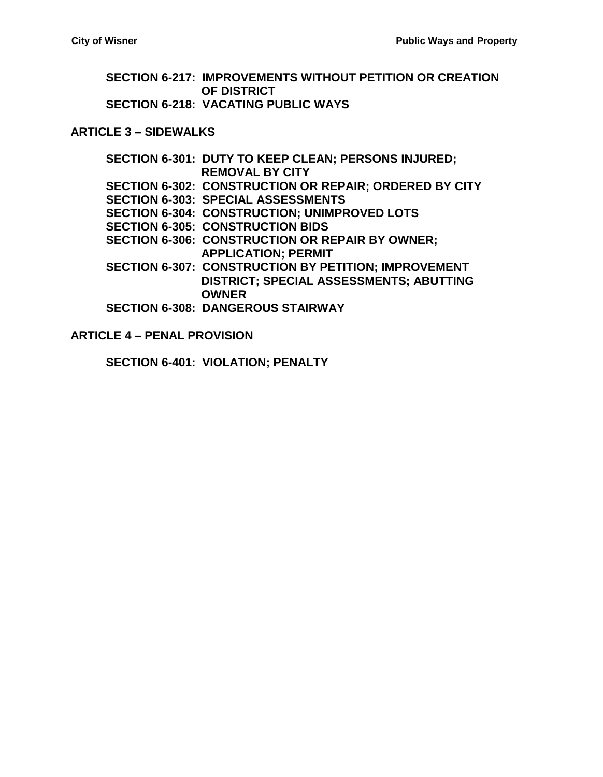**[SECTION 6-217: IMPROVEMENTS WITHOUT](#page-18-1) PETITION OR CREATION [OF DISTRICT](#page-18-1) [SECTION 6-218: VACATING PUBLIC WAYS](#page-20-0)**

#### **[ARTICLE 3 –](#page-22-0) SIDEWALKS**

**[SECTION 6-301: DUTY TO KEEP CLEAN; PERSONS INJURED;](#page-22-1)  [REMOVAL BY CITY](#page-22-1) [SECTION 6-302: CONSTRUCTION OR REPAIR; ORDERED BY](#page-22-2) CITY [SECTION 6-303: SPECIAL ASSESSMENTS](#page-23-0) [SECTION 6-304: CONSTRUCTION; UNIMPROVED LOTS](#page-23-1) [SECTION 6-305: CONSTRUCTION BIDS](#page-23-2) [SECTION 6-306: CONSTRUCTION OR REPAIR BY OWNER;](#page-24-0)  [APPLICATION; PERMIT](#page-24-0) [SECTION 6-307: CONSTRUCTION BY PETITION; IMPROVEMENT](#page-24-1)  [DISTRICT; SPECIAL ASSESSMENTS; ABUTTING](#page-24-1)  [OWNER](#page-24-1) [SECTION 6-308: DANGEROUS STAIRWAY](#page-25-0)**

#### **ARTICLE 4 – [PENAL PROVISION](#page-26-0)**

**[SECTION 6-401: VIOLATION; PENALTY](#page-26-1)**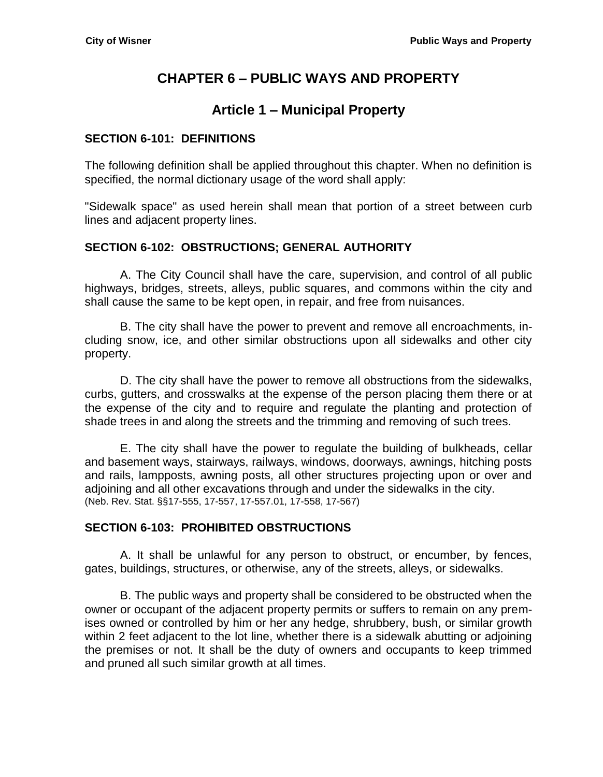# **CHAPTER 6 – PUBLIC WAYS AND PROPERTY**

# **Article 1 – Municipal Property**

### <span id="page-2-2"></span><span id="page-2-1"></span><span id="page-2-0"></span>**SECTION 6-101: DEFINITIONS**

The following definition shall be applied throughout this chapter. When no definition is specified, the normal dictionary usage of the word shall apply:

"Sidewalk space" as used herein shall mean that portion of a street between curb lines and adjacent property lines.

## <span id="page-2-3"></span>**SECTION 6-102: OBSTRUCTIONS; GENERAL AUTHORITY**

A. The City Council shall have the care, supervision, and control of all public highways, bridges, streets, alleys, public squares, and commons within the city and shall cause the same to be kept open, in repair, and free from nuisances.

B. The city shall have the power to prevent and remove all encroachments, including snow, ice, and other similar obstructions upon all sidewalks and other city property.

D. The city shall have the power to remove all obstructions from the sidewalks, curbs, gutters, and crosswalks at the expense of the person placing them there or at the expense of the city and to require and regulate the planting and protection of shade trees in and along the streets and the trimming and removing of such trees.

E. The city shall have the power to regulate the building of bulkheads, cellar and basement ways, stairways, railways, windows, doorways, awnings, hitching posts and rails, lampposts, awning posts, all other structures projecting upon or over and adjoining and all other excavations through and under the sidewalks in the city. (Neb. Rev. Stat. §§17-555, 17-557, 17-557.01, 17-558, 17-567)

# <span id="page-2-4"></span>**SECTION 6-103: PROHIBITED OBSTRUCTIONS**

A. It shall be unlawful for any person to obstruct, or encumber, by fences, gates, buildings, structures, or otherwise, any of the streets, alleys, or sidewalks.

B. The public ways and property shall be considered to be obstructed when the owner or occupant of the adjacent property permits or suffers to remain on any premises owned or controlled by him or her any hedge, shrubbery, bush, or similar growth within 2 feet adjacent to the lot line, whether there is a sidewalk abutting or adjoining the premises or not. It shall be the duty of owners and occupants to keep trimmed and pruned all such similar growth at all times.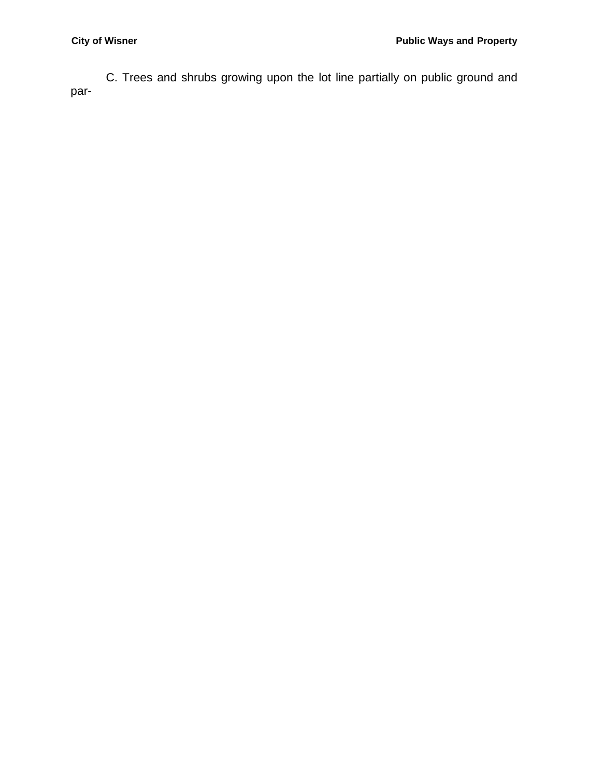C. Trees and shrubs growing upon the lot line partially on public ground and par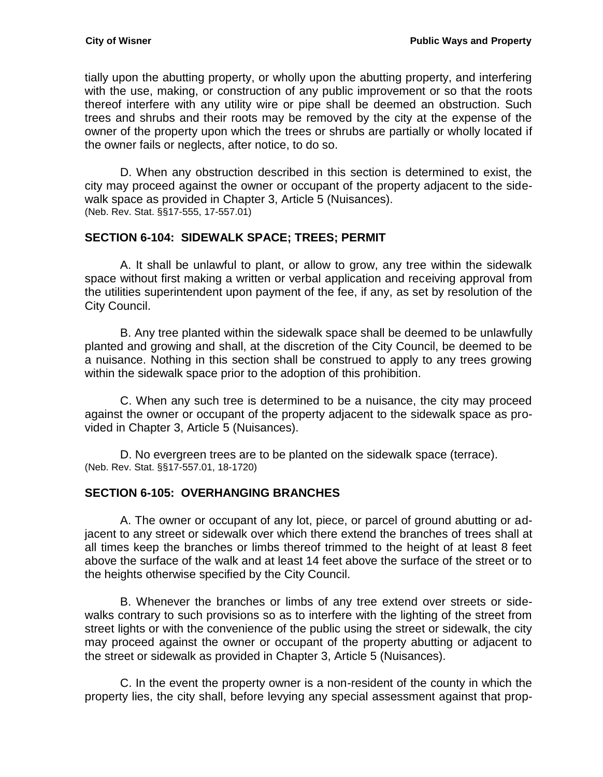tially upon the abutting property, or wholly upon the abutting property, and interfering with the use, making, or construction of any public improvement or so that the roots thereof interfere with any utility wire or pipe shall be deemed an obstruction. Such trees and shrubs and their roots may be removed by the city at the expense of the owner of the property upon which the trees or shrubs are partially or wholly located if the owner fails or neglects, after notice, to do so.

D. When any obstruction described in this section is determined to exist, the city may proceed against the owner or occupant of the property adjacent to the sidewalk space as provided in Chapter 3, Article 5 (Nuisances). (Neb. Rev. Stat. §§17-555, 17-557.01)

## <span id="page-4-0"></span>**SECTION 6-104: SIDEWALK SPACE; TREES; PERMIT**

A. It shall be unlawful to plant, or allow to grow, any tree within the sidewalk space without first making a written or verbal application and receiving approval from the utilities superintendent upon payment of the fee, if any, as set by resolution of the City Council.

B. Any tree planted within the sidewalk space shall be deemed to be unlawfully planted and growing and shall, at the discretion of the City Council, be deemed to be a nuisance. Nothing in this section shall be construed to apply to any trees growing within the sidewalk space prior to the adoption of this prohibition.

C. When any such tree is determined to be a nuisance, the city may proceed against the owner or occupant of the property adjacent to the sidewalk space as provided in Chapter 3, Article 5 (Nuisances).

D. No evergreen trees are to be planted on the sidewalk space (terrace). (Neb. Rev. Stat. §§17-557.01, 18-1720)

# <span id="page-4-1"></span>**SECTION 6-105: OVERHANGING BRANCHES**

A. The owner or occupant of any lot, piece, or parcel of ground abutting or adjacent to any street or sidewalk over which there extend the branches of trees shall at all times keep the branches or limbs thereof trimmed to the height of at least 8 feet above the surface of the walk and at least 14 feet above the surface of the street or to the heights otherwise specified by the City Council.

B. Whenever the branches or limbs of any tree extend over streets or sidewalks contrary to such provisions so as to interfere with the lighting of the street from street lights or with the convenience of the public using the street or sidewalk, the city may proceed against the owner or occupant of the property abutting or adjacent to the street or sidewalk as provided in Chapter 3, Article 5 (Nuisances).

C. In the event the property owner is a non-resident of the county in which the property lies, the city shall, before levying any special assessment against that prop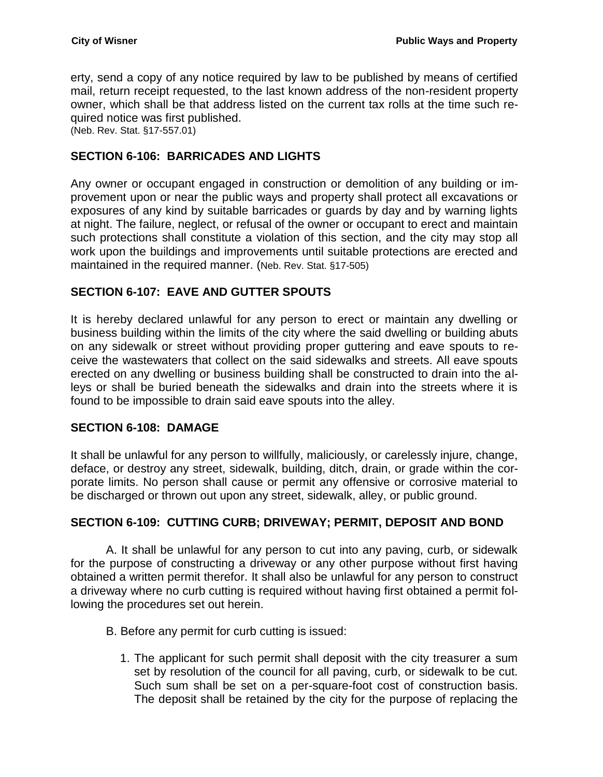erty, send a copy of any notice required by law to be published by means of certified mail, return receipt requested, to the last known address of the non-resident property owner, which shall be that address listed on the current tax rolls at the time such required notice was first published.

(Neb. Rev. Stat. §17-557.01)

## <span id="page-5-0"></span>**SECTION 6-106: BARRICADES AND LIGHTS**

Any owner or occupant engaged in construction or demolition of any building or improvement upon or near the public ways and property shall protect all excavations or exposures of any kind by suitable barricades or guards by day and by warning lights at night. The failure, neglect, or refusal of the owner or occupant to erect and maintain such protections shall constitute a violation of this section, and the city may stop all work upon the buildings and improvements until suitable protections are erected and maintained in the required manner. (Neb. Rev. Stat. §17-505)

## <span id="page-5-1"></span>**SECTION 6-107: EAVE AND GUTTER SPOUTS**

It is hereby declared unlawful for any person to erect or maintain any dwelling or business building within the limits of the city where the said dwelling or building abuts on any sidewalk or street without providing proper guttering and eave spouts to receive the wastewaters that collect on the said sidewalks and streets. All eave spouts erected on any dwelling or business building shall be constructed to drain into the alleys or shall be buried beneath the sidewalks and drain into the streets where it is found to be impossible to drain said eave spouts into the alley.

### <span id="page-5-2"></span>**SECTION 6-108: DAMAGE**

It shall be unlawful for any person to willfully, maliciously, or carelessly injure, change, deface, or destroy any street, sidewalk, building, ditch, drain, or grade within the corporate limits. No person shall cause or permit any offensive or corrosive material to be discharged or thrown out upon any street, sidewalk, alley, or public ground.

### <span id="page-5-3"></span>**SECTION 6-109: CUTTING CURB; DRIVEWAY; PERMIT, DEPOSIT AND BOND**

A. It shall be unlawful for any person to cut into any paving, curb, or sidewalk for the purpose of constructing a driveway or any other purpose without first having obtained a written permit therefor. It shall also be unlawful for any person to construct a driveway where no curb cutting is required without having first obtained a permit following the procedures set out herein.

- B. Before any permit for curb cutting is issued:
	- 1. The applicant for such permit shall deposit with the city treasurer a sum set by resolution of the council for all paving, curb, or sidewalk to be cut. Such sum shall be set on a per-square-foot cost of construction basis. The deposit shall be retained by the city for the purpose of replacing the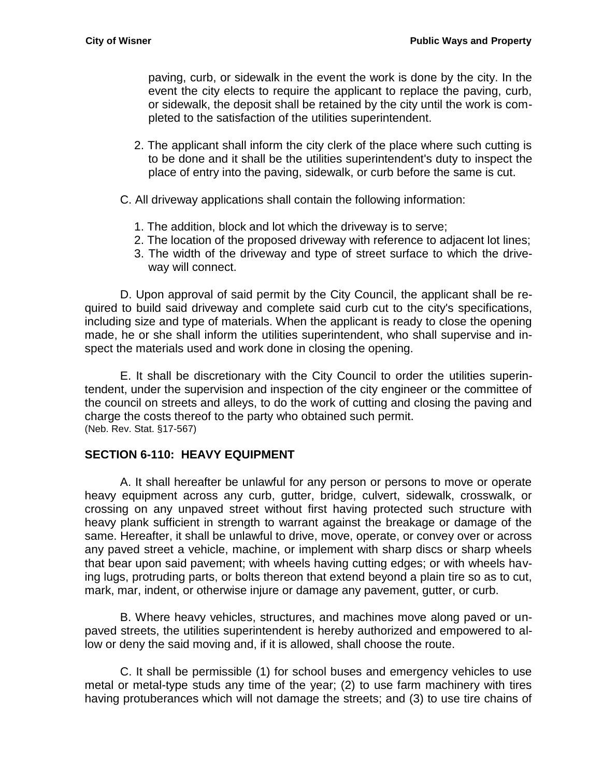paving, curb, or sidewalk in the event the work is done by the city. In the event the city elects to require the applicant to replace the paving, curb, or sidewalk, the deposit shall be retained by the city until the work is completed to the satisfaction of the utilities superintendent.

- 2. The applicant shall inform the city clerk of the place where such cutting is to be done and it shall be the utilities superintendent's duty to inspect the place of entry into the paving, sidewalk, or curb before the same is cut.
- C. All driveway applications shall contain the following information:
	- 1. The addition, block and lot which the driveway is to serve;
	- 2. The location of the proposed driveway with reference to adjacent lot lines;
	- 3. The width of the driveway and type of street surface to which the driveway will connect.

D. Upon approval of said permit by the City Council, the applicant shall be required to build said driveway and complete said curb cut to the city's specifications, including size and type of materials. When the applicant is ready to close the opening made, he or she shall inform the utilities superintendent, who shall supervise and inspect the materials used and work done in closing the opening.

E. It shall be discretionary with the City Council to order the utilities superintendent, under the supervision and inspection of the city engineer or the committee of the council on streets and alleys, to do the work of cutting and closing the paving and charge the costs thereof to the party who obtained such permit. (Neb. Rev. Stat. §17-567)

### <span id="page-6-0"></span>**SECTION 6-110: HEAVY EQUIPMENT**

A. It shall hereafter be unlawful for any person or persons to move or operate heavy equipment across any curb, gutter, bridge, culvert, sidewalk, crosswalk, or crossing on any unpaved street without first having protected such structure with heavy plank sufficient in strength to warrant against the breakage or damage of the same. Hereafter, it shall be unlawful to drive, move, operate, or convey over or across any paved street a vehicle, machine, or implement with sharp discs or sharp wheels that bear upon said pavement; with wheels having cutting edges; or with wheels having lugs, protruding parts, or bolts thereon that extend beyond a plain tire so as to cut, mark, mar, indent, or otherwise injure or damage any pavement, gutter, or curb.

B. Where heavy vehicles, structures, and machines move along paved or unpaved streets, the utilities superintendent is hereby authorized and empowered to allow or deny the said moving and, if it is allowed, shall choose the route.

C. It shall be permissible (1) for school buses and emergency vehicles to use metal or metal-type studs any time of the year; (2) to use farm machinery with tires having protuberances which will not damage the streets; and (3) to use tire chains of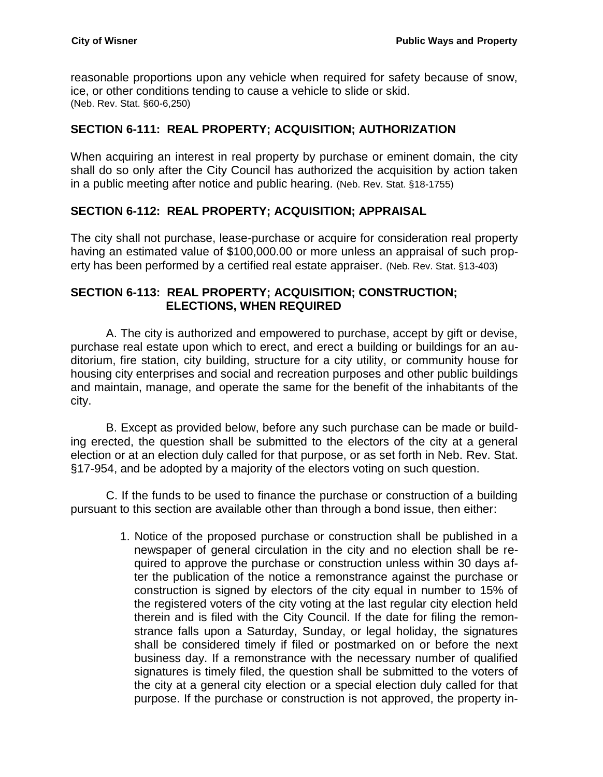reasonable proportions upon any vehicle when required for safety because of snow, ice, or other conditions tending to cause a vehicle to slide or skid. (Neb. Rev. Stat. §60-6,250)

# <span id="page-7-0"></span>**SECTION 6-111: REAL PROPERTY; ACQUISITION; AUTHORIZATION**

When acquiring an interest in real property by purchase or eminent domain, the city shall do so only after the City Council has authorized the acquisition by action taken in a public meeting after notice and public hearing. (Neb. Rev. Stat. §18-1755)

# <span id="page-7-1"></span>**SECTION 6-112: REAL PROPERTY; ACQUISITION; APPRAISAL**

The city shall not purchase, lease-purchase or acquire for consideration real property having an estimated value of \$100,000.00 or more unless an appraisal of such property has been performed by a certified real estate appraiser. (Neb. Rev. Stat. §13-403)

### <span id="page-7-2"></span>**SECTION 6-113: REAL PROPERTY; ACQUISITION; CONSTRUCTION; ELECTIONS, WHEN REQUIRED**

A. The city is authorized and empowered to purchase, accept by gift or devise, purchase real estate upon which to erect, and erect a building or buildings for an auditorium, fire station, city building, structure for a city utility, or community house for housing city enterprises and social and recreation purposes and other public buildings and maintain, manage, and operate the same for the benefit of the inhabitants of the city.

B. Except as provided below, before any such purchase can be made or building erected, the question shall be submitted to the electors of the city at a general election or at an election duly called for that purpose, or as set forth in Neb. Rev. Stat. §17-954, and be adopted by a majority of the electors voting on such question.

C. If the funds to be used to finance the purchase or construction of a building pursuant to this section are available other than through a bond issue, then either:

> 1. Notice of the proposed purchase or construction shall be published in a newspaper of general circulation in the city and no election shall be required to approve the purchase or construction unless within 30 days after the publication of the notice a remonstrance against the purchase or construction is signed by electors of the city equal in number to 15% of the registered voters of the city voting at the last regular city election held therein and is filed with the City Council. If the date for filing the remonstrance falls upon a Saturday, Sunday, or legal holiday, the signatures shall be considered timely if filed or postmarked on or before the next business day. If a remonstrance with the necessary number of qualified signatures is timely filed, the question shall be submitted to the voters of the city at a general city election or a special election duly called for that purpose. If the purchase or construction is not approved, the property in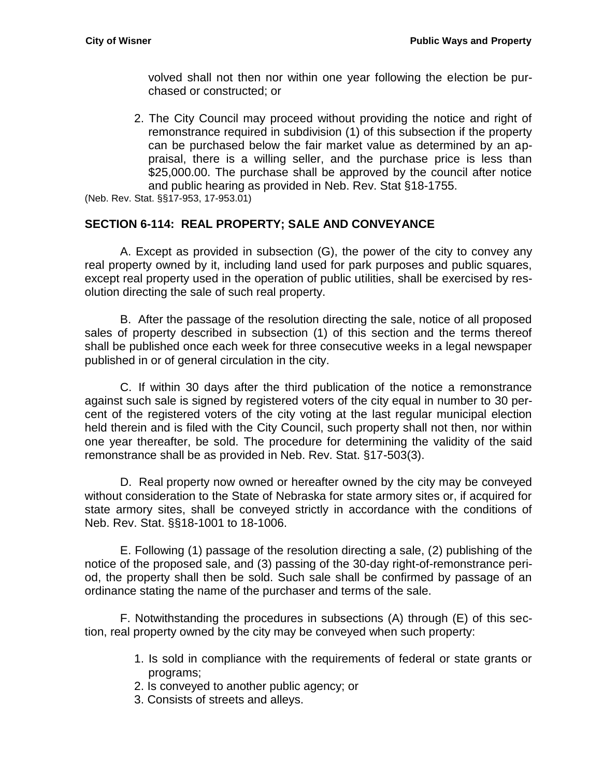volved shall not then nor within one year following the election be purchased or constructed; or

2. The City Council may proceed without providing the notice and right of remonstrance required in subdivision (1) of this subsection if the property can be purchased below the fair market value as determined by an appraisal, there is a willing seller, and the purchase price is less than \$25,000.00. The purchase shall be approved by the council after notice and public hearing as provided in Neb. Rev. Stat §18-1755.

(Neb. Rev. Stat. §§17-953, 17-953.01)

## <span id="page-8-0"></span>**SECTION 6-114: REAL PROPERTY; SALE AND CONVEYANCE**

A. Except as provided in subsection (G), the power of the city to convey any real property owned by it, including land used for park purposes and public squares, except real property used in the operation of public utilities, shall be exercised by resolution directing the sale of such real property.

B. After the passage of the resolution directing the sale, notice of all proposed sales of property described in subsection (1) of this section and the terms thereof shall be published once each week for three consecutive weeks in a legal newspaper published in or of general circulation in the city.

C. If within 30 days after the third publication of the notice a remonstrance against such sale is signed by registered voters of the city equal in number to 30 percent of the registered voters of the city voting at the last regular municipal election held therein and is filed with the City Council, such property shall not then, nor within one year thereafter, be sold. The procedure for determining the validity of the said remonstrance shall be as provided in Neb. Rev. Stat. §17-503(3).

D. Real property now owned or hereafter owned by the city may be conveyed without consideration to the State of Nebraska for state armory sites or, if acquired for state armory sites, shall be conveyed strictly in accordance with the conditions of Neb. Rev. Stat. §§18-1001 to 18-1006.

E. Following (1) passage of the resolution directing a sale, (2) publishing of the notice of the proposed sale, and (3) passing of the 30-day right-of-remonstrance period, the property shall then be sold. Such sale shall be confirmed by passage of an ordinance stating the name of the purchaser and terms of the sale.

F. Notwithstanding the procedures in subsections (A) through (E) of this section, real property owned by the city may be conveyed when such property:

- 1. Is sold in compliance with the requirements of federal or state grants or programs;
- 2. Is conveyed to another public agency; or
- 3. Consists of streets and alleys.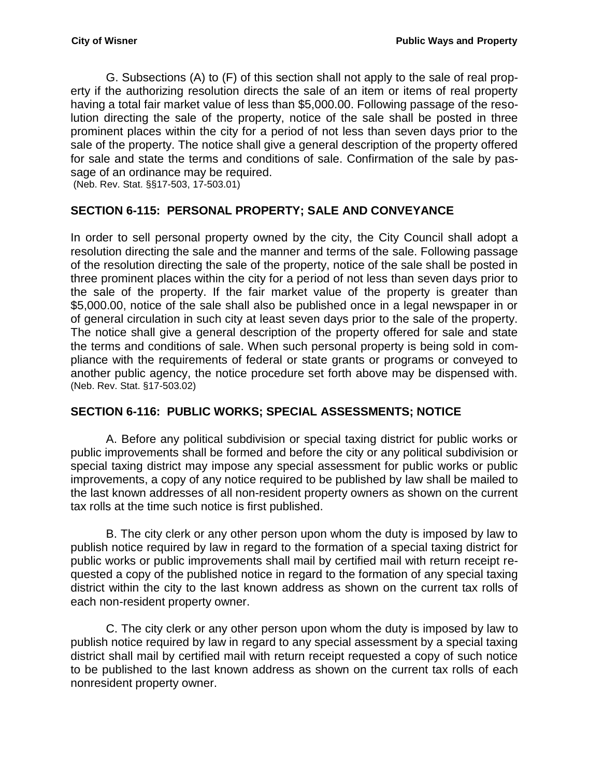G. Subsections (A) to (F) of this section shall not apply to the sale of real property if the authorizing resolution directs the sale of an item or items of real property having a total fair market value of less than \$5,000.00. Following passage of the resolution directing the sale of the property, notice of the sale shall be posted in three prominent places within the city for a period of not less than seven days prior to the sale of the property. The notice shall give a general description of the property offered for sale and state the terms and conditions of sale. Confirmation of the sale by passage of an ordinance may be required.

(Neb. Rev. Stat. §§17-503, 17-503.01)

## <span id="page-9-0"></span>**SECTION 6-115: PERSONAL PROPERTY; SALE AND CONVEYANCE**

In order to sell personal property owned by the city, the City Council shall adopt a resolution directing the sale and the manner and terms of the sale. Following passage of the resolution directing the sale of the property, notice of the sale shall be posted in three prominent places within the city for a period of not less than seven days prior to the sale of the property. If the fair market value of the property is greater than \$5,000.00, notice of the sale shall also be published once in a legal newspaper in or of general circulation in such city at least seven days prior to the sale of the property. The notice shall give a general description of the property offered for sale and state the terms and conditions of sale. When such personal property is being sold in compliance with the requirements of federal or state grants or programs or conveyed to another public agency, the notice procedure set forth above may be dispensed with. (Neb. Rev. Stat. §17-503.02)

### <span id="page-9-1"></span>**SECTION 6-116: PUBLIC WORKS; SPECIAL ASSESSMENTS; NOTICE**

A. Before any political subdivision or special taxing district for public works or public improvements shall be formed and before the city or any political subdivision or special taxing district may impose any special assessment for public works or public improvements, a copy of any notice required to be published by law shall be mailed to the last known addresses of all non-resident property owners as shown on the current tax rolls at the time such notice is first published.

B. The city clerk or any other person upon whom the duty is imposed by law to publish notice required by law in regard to the formation of a special taxing district for public works or public improvements shall mail by certified mail with return receipt requested a copy of the published notice in regard to the formation of any special taxing district within the city to the last known address as shown on the current tax rolls of each non-resident property owner.

C. The city clerk or any other person upon whom the duty is imposed by law to publish notice required by law in regard to any special assessment by a special taxing district shall mail by certified mail with return receipt requested a copy of such notice to be published to the last known address as shown on the current tax rolls of each nonresident property owner.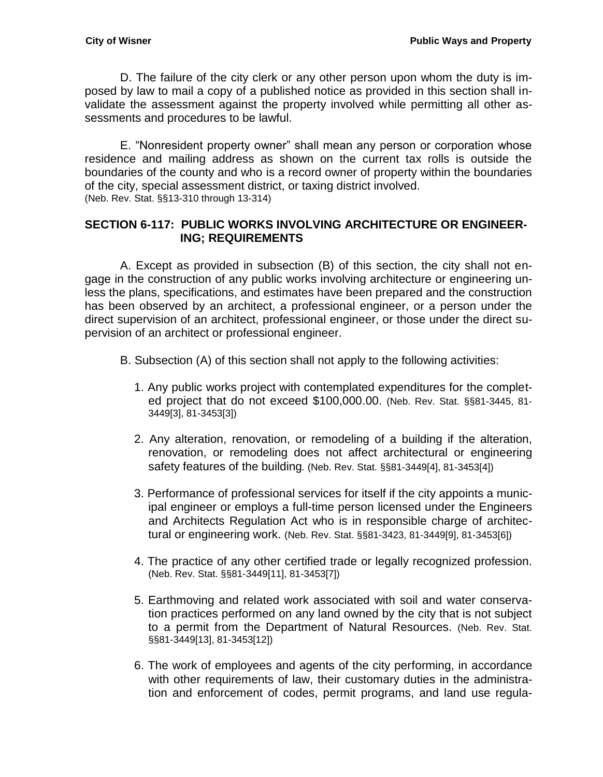D. The failure of the city clerk or any other person upon whom the duty is imposed by law to mail a copy of a published notice as provided in this section shall invalidate the assessment against the property involved while permitting all other assessments and procedures to be lawful.

E. "Nonresident property owner" shall mean any person or corporation whose residence and mailing address as shown on the current tax rolls is outside the boundaries of the county and who is a record owner of property within the boundaries of the city, special assessment district, or taxing district involved. (Neb. Rev. Stat. §§13-310 through 13-314)

## <span id="page-10-0"></span>**SECTION 6-117: PUBLIC WORKS INVOLVING ARCHITECTURE OR ENGINEER-ING; REQUIREMENTS**

A. Except as provided in subsection (B) of this section, the city shall not engage in the construction of any public works involving architecture or engineering unless the plans, specifications, and estimates have been prepared and the construction has been observed by an architect, a professional engineer, or a person under the direct supervision of an architect, professional engineer, or those under the direct supervision of an architect or professional engineer.

- B. Subsection (A) of this section shall not apply to the following activities:
	- 1. Any public works project with contemplated expenditures for the completed project that do not exceed \$100,000.00. (Neb. Rev. Stat. §§81-3445, 81- 3449[3], 81-3453[3])
	- 2. Any alteration, renovation, or remodeling of a building if the alteration, renovation, or remodeling does not affect architectural or engineering safety features of the building*.* (Neb. Rev. Stat. §§81-3449[4], 81-3453[4])
	- 3. Performance of professional services for itself if the city appoints a municipal engineer or employs a full-time person licensed under the Engineers and Architects Regulation Act who is in responsible charge of architectural or engineering work. (Neb. Rev. Stat. §§81-3423, 81-3449[9], 81-3453[6])
	- 4. The practice of any other certified trade or legally recognized profession. (Neb. Rev. Stat. §§81-3449[11], 81-3453[7])
	- 5. Earthmoving and related work associated with soil and water conservation practices performed on any land owned by the city that is not subject to a permit from the Department of Natural Resources. (Neb. Rev. Stat. §§81-3449[13], 81-3453[12])
	- 6. The work of employees and agents of the city performing, in accordance with other requirements of law, their customary duties in the administration and enforcement of codes, permit programs, and land use regula-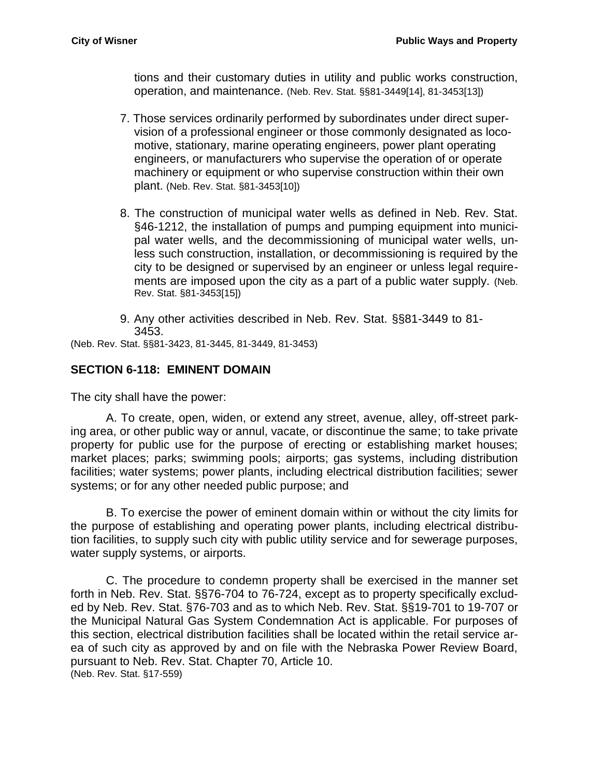tions and their customary duties in utility and public works construction, operation, and maintenance. (Neb. Rev. Stat. §§81-3449[14], 81-3453[13])

- 7. Those services ordinarily performed by subordinates under direct supervision of a professional engineer or those commonly designated as locomotive, stationary, marine operating engineers, power plant operating engineers, or manufacturers who supervise the operation of or operate machinery or equipment or who supervise construction within their own plant. (Neb. Rev. Stat. §81-3453[10])
- 8. The construction of municipal water wells as defined in Neb. Rev. Stat. §46-1212, the installation of pumps and pumping equipment into municipal water wells, and the decommissioning of municipal water wells, unless such construction, installation, or decommissioning is required by the city to be designed or supervised by an engineer or unless legal requirements are imposed upon the city as a part of a public water supply. (Neb. Rev. Stat. §81-3453[15])
- 9. Any other activities described in Neb. Rev. Stat. §§81-3449 to 81- 3453.

(Neb. Rev. Stat. §§81-3423, 81-3445, 81-3449, 81-3453)

## <span id="page-11-0"></span>**SECTION 6-118: EMINENT DOMAIN**

The city shall have the power:

A. To create, open, widen, or extend any street, avenue, alley, off-street parking area, or other public way or annul, vacate, or discontinue the same; to take private property for public use for the purpose of erecting or establishing market houses; market places; parks; swimming pools; airports; gas systems, including distribution facilities; water systems; power plants, including electrical distribution facilities; sewer systems; or for any other needed public purpose; and

B. To exercise the power of eminent domain within or without the city limits for the purpose of establishing and operating power plants, including electrical distribution facilities, to supply such city with public utility service and for sewerage purposes, water supply systems, or airports.

C. The procedure to condemn property shall be exercised in the manner set forth in Neb. Rev. Stat. §[§76-704](http://nebraskalegislature.gov/laws/statutes.php?statute=76-704) to [76-724,](http://nebraskalegislature.gov/laws/statutes.php?statute=76-724) except as to property specifically excluded by Neb. Rev. Stat. [§76-703](http://nebraskalegislature.gov/laws/statutes.php?statute=76-703) and as to which Neb. Rev. Stat. §[§19-701](http://nebraskalegislature.gov/laws/statutes.php?statute=19-701) to [19-707](http://nebraskalegislature.gov/laws/statutes.php?statute=19-707) or the Municipal Natural Gas System Condemnation Act is applicable. For purposes of this section, electrical distribution facilities shall be located within the retail service area of such city as approved by and on file with the Nebraska Power Review Board, pursuant to Neb. Rev. Stat. Chapter 70, Article 10. (Neb. Rev. Stat. §17-559)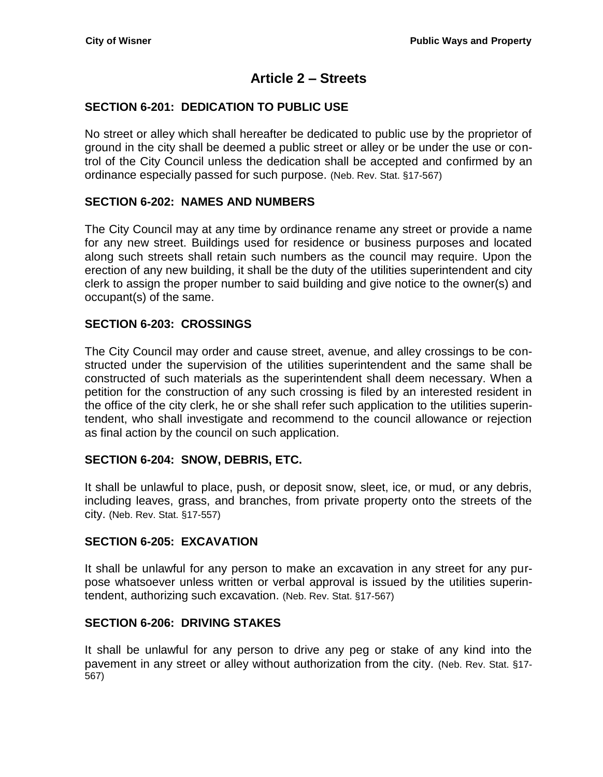# **Article 2 – Streets**

# <span id="page-14-1"></span><span id="page-14-0"></span>**SECTION 6-201: DEDICATION TO PUBLIC USE**

No street or alley which shall hereafter be dedicated to public use by the proprietor of ground in the city shall be deemed a public street or alley or be under the use or control of the City Council unless the dedication shall be accepted and confirmed by an ordinance especially passed for such purpose. (Neb. Rev. Stat. §17-567)

# <span id="page-14-2"></span>**SECTION 6-202: NAMES AND NUMBERS**

The City Council may at any time by ordinance rename any street or provide a name for any new street. Buildings used for residence or business purposes and located along such streets shall retain such numbers as the council may require. Upon the erection of any new building, it shall be the duty of the utilities superintendent and city clerk to assign the proper number to said building and give notice to the owner(s) and occupant(s) of the same.

# <span id="page-14-3"></span>**SECTION 6-203: CROSSINGS**

The City Council may order and cause street, avenue, and alley crossings to be constructed under the supervision of the utilities superintendent and the same shall be constructed of such materials as the superintendent shall deem necessary. When a petition for the construction of any such crossing is filed by an interested resident in the office of the city clerk, he or she shall refer such application to the utilities superintendent, who shall investigate and recommend to the council allowance or rejection as final action by the council on such application.

# <span id="page-14-4"></span>**SECTION 6-204: SNOW, DEBRIS, ETC.**

It shall be unlawful to place, push, or deposit snow, sleet, ice, or mud, or any debris, including leaves, grass, and branches, from private property onto the streets of the city. (Neb. Rev. Stat. §17-557)

# <span id="page-14-5"></span>**SECTION 6-205: EXCAVATION**

It shall be unlawful for any person to make an excavation in any street for any purpose whatsoever unless written or verbal approval is issued by the utilities superintendent, authorizing such excavation. (Neb. Rev. Stat. §17-567)

# <span id="page-14-6"></span>**SECTION 6-206: DRIVING STAKES**

It shall be unlawful for any person to drive any peg or stake of any kind into the pavement in any street or alley without authorization from the city. (Neb. Rev. Stat. §17- 567)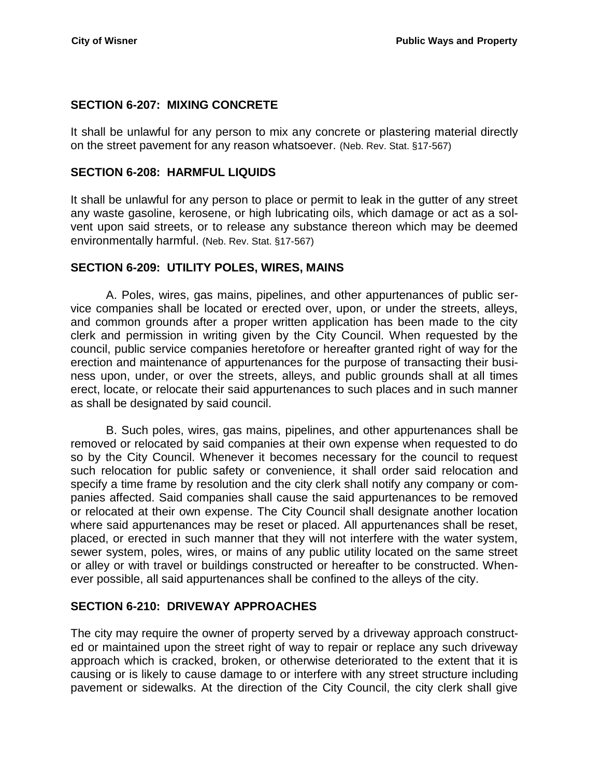## <span id="page-15-0"></span>**SECTION 6-207: MIXING CONCRETE**

It shall be unlawful for any person to mix any concrete or plastering material directly on the street pavement for any reason whatsoever. (Neb. Rev. Stat. §17-567)

### <span id="page-15-1"></span>**SECTION 6-208: HARMFUL LIQUIDS**

It shall be unlawful for any person to place or permit to leak in the gutter of any street any waste gasoline, kerosene, or high lubricating oils, which damage or act as a solvent upon said streets, or to release any substance thereon which may be deemed environmentally harmful. (Neb. Rev. Stat. §17-567)

### <span id="page-15-2"></span>**SECTION 6-209: UTILITY POLES, WIRES, MAINS**

A. Poles, wires, gas mains, pipelines, and other appurtenances of public service companies shall be located or erected over, upon, or under the streets, alleys, and common grounds after a proper written application has been made to the city clerk and permission in writing given by the City Council. When requested by the council, public service companies heretofore or hereafter granted right of way for the erection and maintenance of appurtenances for the purpose of transacting their business upon, under, or over the streets, alleys, and public grounds shall at all times erect, locate, or relocate their said appurtenances to such places and in such manner as shall be designated by said council.

B. Such poles, wires, gas mains, pipelines, and other appurtenances shall be removed or relocated by said companies at their own expense when requested to do so by the City Council. Whenever it becomes necessary for the council to request such relocation for public safety or convenience, it shall order said relocation and specify a time frame by resolution and the city clerk shall notify any company or companies affected. Said companies shall cause the said appurtenances to be removed or relocated at their own expense. The City Council shall designate another location where said appurtenances may be reset or placed. All appurtenances shall be reset, placed, or erected in such manner that they will not interfere with the water system, sewer system, poles, wires, or mains of any public utility located on the same street or alley or with travel or buildings constructed or hereafter to be constructed. Whenever possible, all said appurtenances shall be confined to the alleys of the city.

# <span id="page-15-3"></span>**SECTION 6-210: DRIVEWAY APPROACHES**

The city may require the owner of property served by a driveway approach constructed or maintained upon the street right of way to repair or replace any such driveway approach which is cracked, broken, or otherwise deteriorated to the extent that it is causing or is likely to cause damage to or interfere with any street structure including pavement or sidewalks. At the direction of the City Council, the city clerk shall give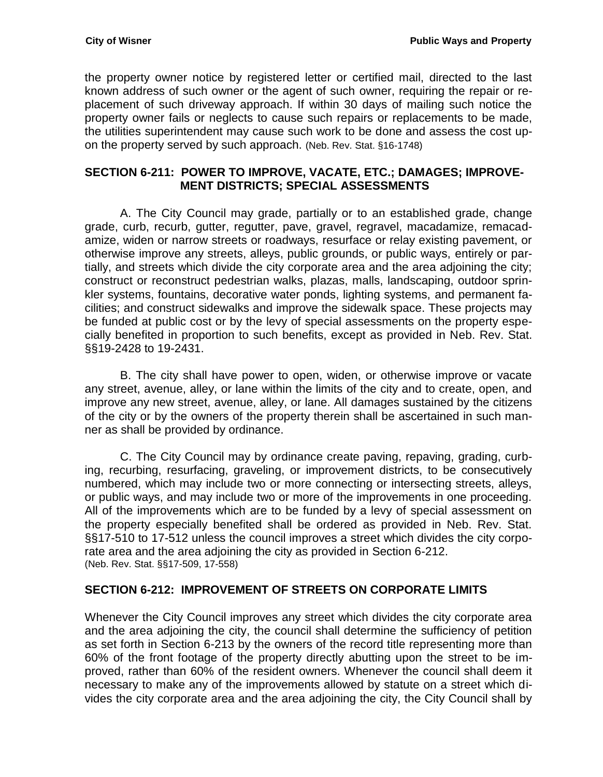the property owner notice by registered letter or certified mail, directed to the last known address of such owner or the agent of such owner, requiring the repair or replacement of such driveway approach. If within 30 days of mailing such notice the property owner fails or neglects to cause such repairs or replacements to be made, the utilities superintendent may cause such work to be done and assess the cost upon the property served by such approach. (Neb. Rev. Stat. §16-1748)

### <span id="page-16-0"></span>**SECTION 6-211: POWER TO IMPROVE, VACATE, ETC.; DAMAGES; IMPROVE-MENT DISTRICTS; SPECIAL ASSESSMENTS**

A. The City Council may grade, partially or to an established grade, change grade, curb, recurb, gutter, regutter, pave, gravel, regravel, macadamize, remacadamize, widen or narrow streets or roadways, resurface or relay existing pavement, or otherwise improve any streets, alleys, public grounds, or public ways, entirely or partially, and streets which divide the city corporate area and the area adjoining the city; construct or reconstruct pedestrian walks, plazas, malls, landscaping, outdoor sprinkler systems, fountains, decorative water ponds, lighting systems, and permanent facilities; and construct sidewalks and improve the sidewalk space. These projects may be funded at public cost or by the levy of special assessments on the property especially benefited in proportion to such benefits, except as provided in Neb. Rev. Stat. §§19-2428 to 19-2431.

B. The city shall have power to open, widen, or otherwise improve or vacate any street, avenue, alley, or lane within the limits of the city and to create, open, and improve any new street, avenue, alley, or lane. All damages sustained by the citizens of the city or by the owners of the property therein shall be ascertained in such manner as shall be provided by ordinance.

C. The City Council may by ordinance create paving, repaving, grading, curbing, recurbing, resurfacing, graveling, or improvement districts, to be consecutively numbered, which may include two or more connecting or intersecting streets, alleys, or public ways, and may include two or more of the improvements in one proceeding. All of the improvements which are to be funded by a levy of special assessment on the property especially benefited shall be ordered as provided in Neb. Rev. Stat. §§17-510 to 17-512 unless the council improves a street which divides the city corporate area and the area adjoining the city as provided in Section 6-212. (Neb. Rev. Stat. §§17-509, 17-558)

# <span id="page-16-1"></span>**SECTION 6-212: IMPROVEMENT OF STREETS ON CORPORATE LIMITS**

Whenever the City Council improves any street which divides the city corporate area and the area adjoining the city, the council shall determine the sufficiency of petition as set forth in Section 6-213 by the owners of the record title representing more than 60% of the front footage of the property directly abutting upon the street to be improved, rather than 60% of the resident owners. Whenever the council shall deem it necessary to make any of the improvements allowed by statute on a street which divides the city corporate area and the area adjoining the city, the City Council shall by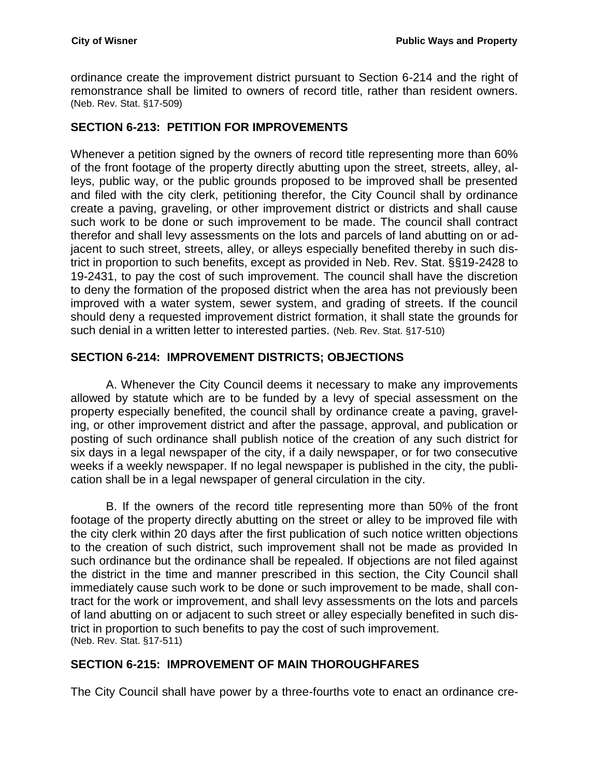ordinance create the improvement district pursuant to Section 6-214 and the right of remonstrance shall be limited to owners of record title, rather than resident owners. (Neb. Rev. Stat. §17-509)

## <span id="page-17-0"></span>**SECTION 6-213: PETITION FOR IMPROVEMENTS**

Whenever a petition signed by the owners of record title representing more than 60% of the front footage of the property directly abutting upon the street, streets, alley, alleys, public way, or the public grounds proposed to be improved shall be presented and filed with the city clerk, petitioning therefor, the City Council shall by ordinance create a paving, graveling, or other improvement district or districts and shall cause such work to be done or such improvement to be made. The council shall contract therefor and shall levy assessments on the lots and parcels of land abutting on or adjacent to such street, streets, alley, or alleys especially benefited thereby in such district in proportion to such benefits, except as provided in Neb. Rev. Stat. §§19-2428 to 19-2431, to pay the cost of such improvement. The council shall have the discretion to deny the formation of the proposed district when the area has not previously been improved with a water system, sewer system, and grading of streets. If the council should deny a requested improvement district formation, it shall state the grounds for such denial in a written letter to interested parties. (Neb. Rev. Stat. §17-510)

## <span id="page-17-1"></span>**SECTION 6-214: IMPROVEMENT DISTRICTS; OBJECTIONS**

A. Whenever the City Council deems it necessary to make any improvements allowed by statute which are to be funded by a levy of special assessment on the property especially benefited, the council shall by ordinance create a paving, graveling, or other improvement district and after the passage, approval, and publication or posting of such ordinance shall publish notice of the creation of any such district for six days in a legal newspaper of the city, if a daily newspaper, or for two consecutive weeks if a weekly newspaper. If no legal newspaper is published in the city, the publication shall be in a legal newspaper of general circulation in the city.

B. If the owners of the record title representing more than 50% of the front footage of the property directly abutting on the street or alley to be improved file with the city clerk within 20 days after the first publication of such notice written objections to the creation of such district, such improvement shall not be made as provided In such ordinance but the ordinance shall be repealed. If objections are not filed against the district in the time and manner prescribed in this section, the City Council shall immediately cause such work to be done or such improvement to be made, shall contract for the work or improvement, and shall levy assessments on the lots and parcels of land abutting on or adjacent to such street or alley especially benefited in such district in proportion to such benefits to pay the cost of such improvement. (Neb. Rev. Stat. §17-511)

### <span id="page-17-2"></span>**SECTION 6-215: IMPROVEMENT OF MAIN THOROUGHFARES**

The City Council shall have power by a three-fourths vote to enact an ordinance cre-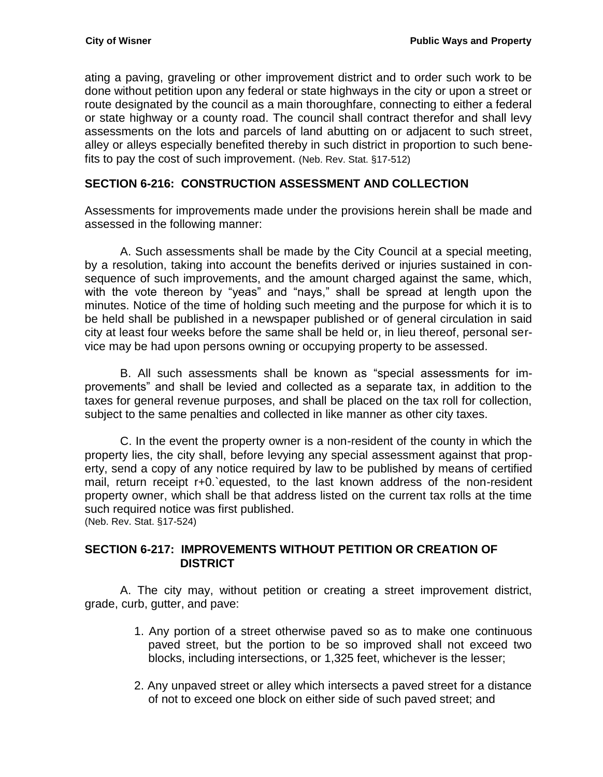ating a paving, graveling or other improvement district and to order such work to be done without petition upon any federal or state highways in the city or upon a street or route designated by the council as a main thoroughfare, connecting to either a federal or state highway or a county road. The council shall contract therefor and shall levy assessments on the lots and parcels of land abutting on or adjacent to such street, alley or alleys especially benefited thereby in such district in proportion to such benefits to pay the cost of such improvement. (Neb. Rev. Stat. §17-512)

# <span id="page-18-0"></span>**SECTION 6-216: CONSTRUCTION ASSESSMENT AND COLLECTION**

Assessments for improvements made under the provisions herein shall be made and assessed in the following manner:

A. Such assessments shall be made by the City Council at a special meeting, by a resolution, taking into account the benefits derived or injuries sustained in consequence of such improvements, and the amount charged against the same, which, with the vote thereon by "yeas" and "nays," shall be spread at length upon the minutes. Notice of the time of holding such meeting and the purpose for which it is to be held shall be published in a newspaper published or of general circulation in said city at least four weeks before the same shall be held or, in lieu thereof, personal service may be had upon persons owning or occupying property to be assessed.

B. All such assessments shall be known as "special assessments for improvements" and shall be levied and collected as a separate tax, in addition to the taxes for general revenue purposes, and shall be placed on the tax roll for collection, subject to the same penalties and collected in like manner as other city taxes.

C. In the event the property owner is a non-resident of the county in which the property lies, the city shall, before levying any special assessment against that property, send a copy of any notice required by law to be published by means of certified mail, return receipt r+0.`equested, to the last known address of the non-resident property owner, which shall be that address listed on the current tax rolls at the time such required notice was first published.

(Neb. Rev. Stat. §17-524)

## <span id="page-18-1"></span>**SECTION 6-217: IMPROVEMENTS WITHOUT PETITION OR CREATION OF DISTRICT**

A. The city may, without petition or creating a street improvement district, grade, curb, gutter, and pave:

- 1. Any portion of a street otherwise paved so as to make one continuous paved street, but the portion to be so improved shall not exceed two blocks, including intersections, or 1,325 feet, whichever is the lesser;
- 2. Any unpaved street or alley which intersects a paved street for a distance of not to exceed one block on either side of such paved street; and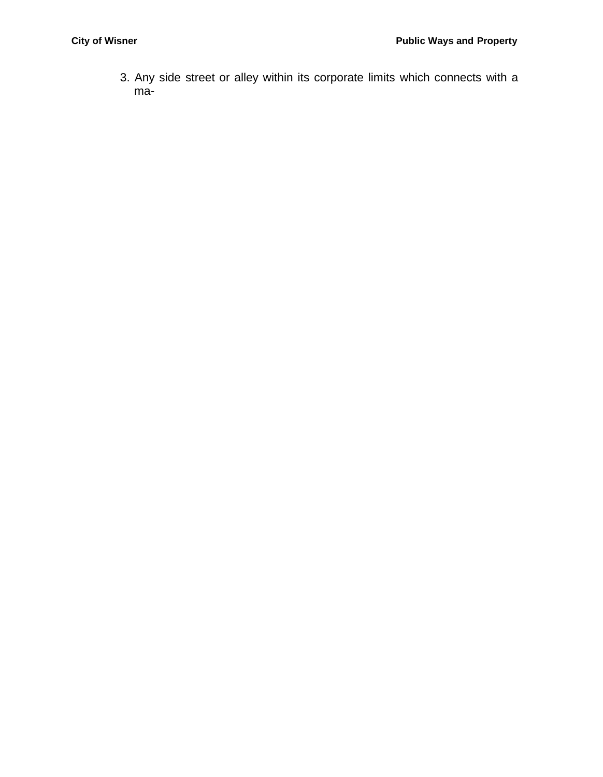3. Any side street or alley within its corporate limits which connects with a ma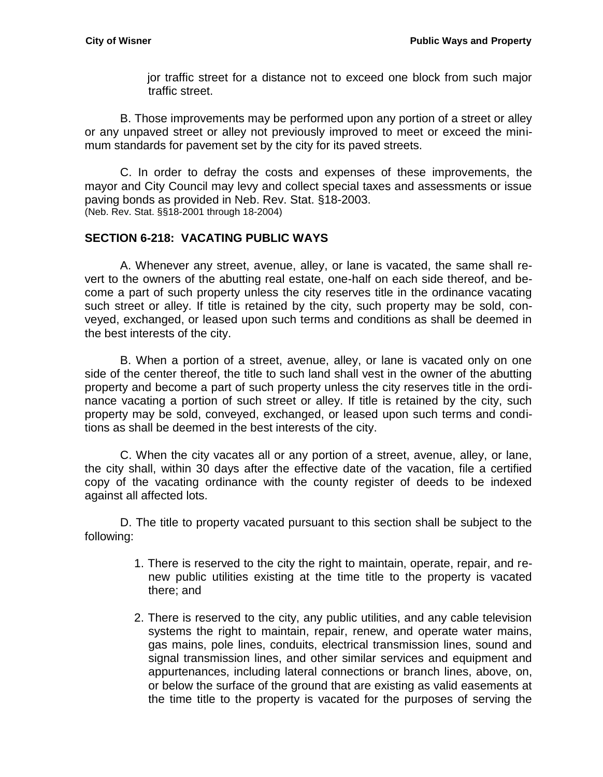jor traffic street for a distance not to exceed one block from such major traffic street.

B. Those improvements may be performed upon any portion of a street or alley or any unpaved street or alley not previously improved to meet or exceed the minimum standards for pavement set by the city for its paved streets.

C. In order to defray the costs and expenses of these improvements, the mayor and City Council may levy and collect special taxes and assessments or issue paving bonds as provided in Neb. Rev. Stat. §18-2003. (Neb. Rev. Stat. §§18-2001 through 18-2004)

## <span id="page-20-0"></span>**SECTION 6-218: VACATING PUBLIC WAYS**

A. Whenever any street, avenue, alley, or lane is vacated, the same shall revert to the owners of the abutting real estate, one-half on each side thereof, and become a part of such property unless the city reserves title in the ordinance vacating such street or alley. If title is retained by the city, such property may be sold, conveyed, exchanged, or leased upon such terms and conditions as shall be deemed in the best interests of the city.

B. When a portion of a street, avenue, alley, or lane is vacated only on one side of the center thereof, the title to such land shall vest in the owner of the abutting property and become a part of such property unless the city reserves title in the ordinance vacating a portion of such street or alley. If title is retained by the city, such property may be sold, conveyed, exchanged, or leased upon such terms and conditions as shall be deemed in the best interests of the city.

C. When the city vacates all or any portion of a street, avenue, alley, or lane, the city shall, within 30 days after the effective date of the vacation, file a certified copy of the vacating ordinance with the county register of deeds to be indexed against all affected lots.

D. The title to property vacated pursuant to this section shall be subject to the following:

- 1. There is reserved to the city the right to maintain, operate, repair, and renew public utilities existing at the time title to the property is vacated there; and
- 2. There is reserved to the city, any public utilities, and any cable television systems the right to maintain, repair, renew, and operate water mains, gas mains, pole lines, conduits, electrical transmission lines, sound and signal transmission lines, and other similar services and equipment and appurtenances, including lateral connections or branch lines, above, on, or below the surface of the ground that are existing as valid easements at the time title to the property is vacated for the purposes of serving the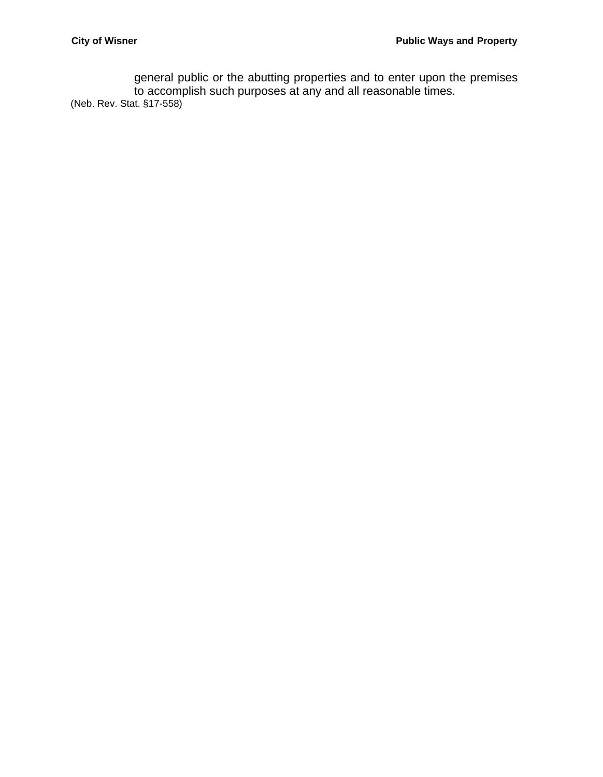general public or the abutting properties and to enter upon the premises to accomplish such purposes at any and all reasonable times. (Neb. Rev. Stat. §17-558)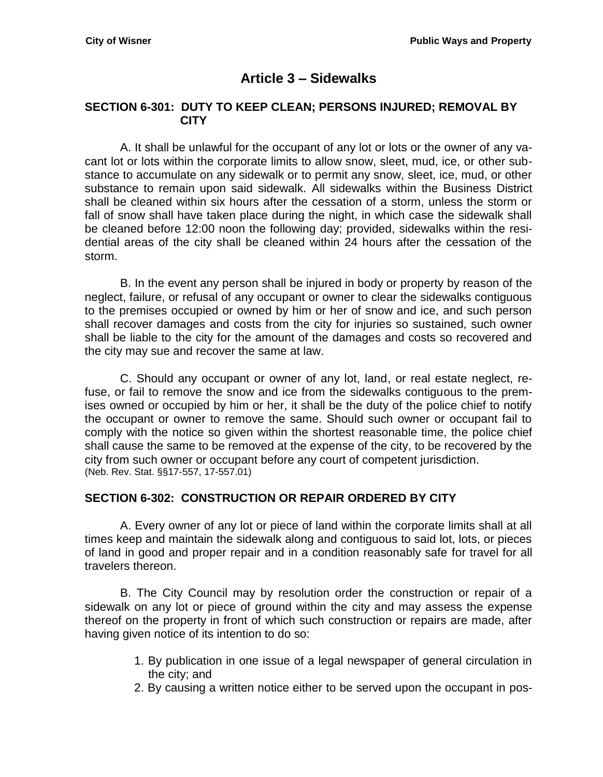# **Article 3 – Sidewalks**

#### <span id="page-22-1"></span><span id="page-22-0"></span>**SECTION 6-301: DUTY TO KEEP CLEAN; PERSONS INJURED; REMOVAL BY CITY**

A. It shall be unlawful for the occupant of any lot or lots or the owner of any vacant lot or lots within the corporate limits to allow snow, sleet, mud, ice, or other substance to accumulate on any sidewalk or to permit any snow, sleet, ice, mud, or other substance to remain upon said sidewalk. All sidewalks within the Business District shall be cleaned within six hours after the cessation of a storm, unless the storm or fall of snow shall have taken place during the night, in which case the sidewalk shall be cleaned before 12:00 noon the following day; provided, sidewalks within the residential areas of the city shall be cleaned within 24 hours after the cessation of the storm.

B. In the event any person shall be injured in body or property by reason of the neglect, failure, or refusal of any occupant or owner to clear the sidewalks contiguous to the premises occupied or owned by him or her of snow and ice, and such person shall recover damages and costs from the city for injuries so sustained, such owner shall be liable to the city for the amount of the damages and costs so recovered and the city may sue and recover the same at law.

C. Should any occupant or owner of any lot, land, or real estate neglect, refuse, or fail to remove the snow and ice from the sidewalks contiguous to the premises owned or occupied by him or her, it shall be the duty of the police chief to notify the occupant or owner to remove the same. Should such owner or occupant fail to comply with the notice so given within the shortest reasonable time, the police chief shall cause the same to be removed at the expense of the city, to be recovered by the city from such owner or occupant before any court of competent jurisdiction. (Neb. Rev. Stat. §§17-557, 17-557.01)

### <span id="page-22-2"></span>**SECTION 6-302: CONSTRUCTION OR REPAIR ORDERED BY CITY**

A. Every owner of any lot or piece of land within the corporate limits shall at all times keep and maintain the sidewalk along and contiguous to said lot, lots, or pieces of land in good and proper repair and in a condition reasonably safe for travel for all travelers thereon.

B. The City Council may by resolution order the construction or repair of a sidewalk on any lot or piece of ground within the city and may assess the expense thereof on the property in front of which such construction or repairs are made, after having given notice of its intention to do so:

- 1. By publication in one issue of a legal newspaper of general circulation in the city; and
- 2. By causing a written notice either to be served upon the occupant in pos-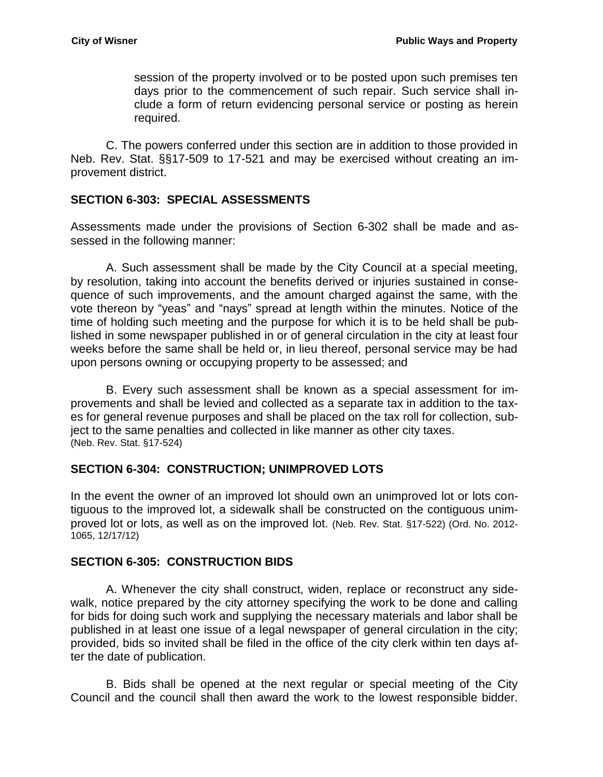session of the property involved or to be posted upon such premises ten days prior to the commencement of such repair. Such service shall include a form of return evidencing personal service or posting as herein required.

C. The powers conferred under this section are in addition to those provided in Neb. Rev. Stat. §§17-509 to 17-521 and may be exercised without creating an improvement district.

## <span id="page-23-0"></span>**SECTION 6-303: SPECIAL ASSESSMENTS**

Assessments made under the provisions of Section 6-302 shall be made and assessed in the following manner:

A. Such assessment shall be made by the City Council at a special meeting, by resolution, taking into account the benefits derived or injuries sustained in consequence of such improvements, and the amount charged against the same, with the vote thereon by "yeas" and "nays" spread at length within the minutes. Notice of the time of holding such meeting and the purpose for which it is to be held shall be published in some newspaper published in or of general circulation in the city at least four weeks before the same shall be held or, in lieu thereof, personal service may be had upon persons owning or occupying property to be assessed; and

B. Every such assessment shall be known as a special assessment for improvements and shall be levied and collected as a separate tax in addition to the taxes for general revenue purposes and shall be placed on the tax roll for collection, subject to the same penalties and collected in like manner as other city taxes. (Neb. Rev. Stat. §17-524)

# <span id="page-23-1"></span>**SECTION 6-304: CONSTRUCTION; UNIMPROVED LOTS**

In the event the owner of an improved lot should own an unimproved lot or lots contiguous to the improved lot, a sidewalk shall be constructed on the contiguous unimproved lot or lots, as well as on the improved lot. (Neb. Rev. Stat. §17-522) (Ord. No. 2012- 1065, 12/17/12)

### <span id="page-23-2"></span>**SECTION 6-305: CONSTRUCTION BIDS**

A. Whenever the city shall construct, widen, replace or reconstruct any sidewalk, notice prepared by the city attorney specifying the work to be done and calling for bids for doing such work and supplying the necessary materials and labor shall be published in at least one issue of a legal newspaper of general circulation in the city; provided, bids so invited shall be filed in the office of the city clerk within ten days after the date of publication.

B. Bids shall be opened at the next regular or special meeting of the City Council and the council shall then award the work to the lowest responsible bidder.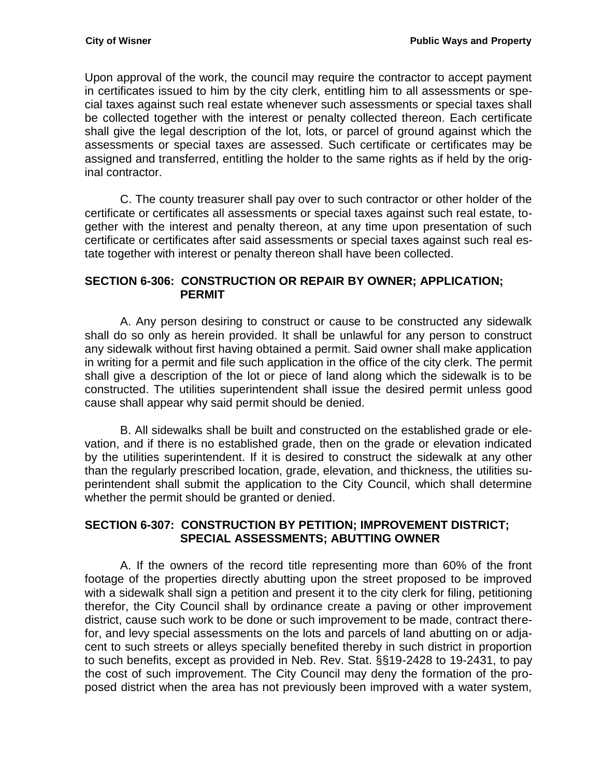Upon approval of the work, the council may require the contractor to accept payment in certificates issued to him by the city clerk, entitling him to all assessments or special taxes against such real estate whenever such assessments or special taxes shall be collected together with the interest or penalty collected thereon. Each certificate shall give the legal description of the lot, lots, or parcel of ground against which the assessments or special taxes are assessed. Such certificate or certificates may be assigned and transferred, entitling the holder to the same rights as if held by the original contractor.

C. The county treasurer shall pay over to such contractor or other holder of the certificate or certificates all assessments or special taxes against such real estate, together with the interest and penalty thereon, at any time upon presentation of such certificate or certificates after said assessments or special taxes against such real estate together with interest or penalty thereon shall have been collected.

## <span id="page-24-0"></span>**SECTION 6-306: CONSTRUCTION OR REPAIR BY OWNER; APPLICATION; PERMIT**

A. Any person desiring to construct or cause to be constructed any sidewalk shall do so only as herein provided. It shall be unlawful for any person to construct any sidewalk without first having obtained a permit. Said owner shall make application in writing for a permit and file such application in the office of the city clerk. The permit shall give a description of the lot or piece of land along which the sidewalk is to be constructed. The utilities superintendent shall issue the desired permit unless good cause shall appear why said permit should be denied.

B. All sidewalks shall be built and constructed on the established grade or elevation, and if there is no established grade, then on the grade or elevation indicated by the utilities superintendent. If it is desired to construct the sidewalk at any other than the regularly prescribed location, grade, elevation, and thickness, the utilities superintendent shall submit the application to the City Council, which shall determine whether the permit should be granted or denied.

## <span id="page-24-1"></span>**SECTION 6-307: CONSTRUCTION BY PETITION; IMPROVEMENT DISTRICT; SPECIAL ASSESSMENTS; ABUTTING OWNER**

A. If the owners of the record title representing more than 60% of the front footage of the properties directly abutting upon the street proposed to be improved with a sidewalk shall sign a petition and present it to the city clerk for filing, petitioning therefor, the City Council shall by ordinance create a paving or other improvement district, cause such work to be done or such improvement to be made, contract therefor, and levy special assessments on the lots and parcels of land abutting on or adjacent to such streets or alleys specially benefited thereby in such district in proportion to such benefits, except as provided in Neb. Rev. Stat. §§19-2428 to 19-2431, to pay the cost of such improvement. The City Council may deny the formation of the proposed district when the area has not previously been improved with a water system,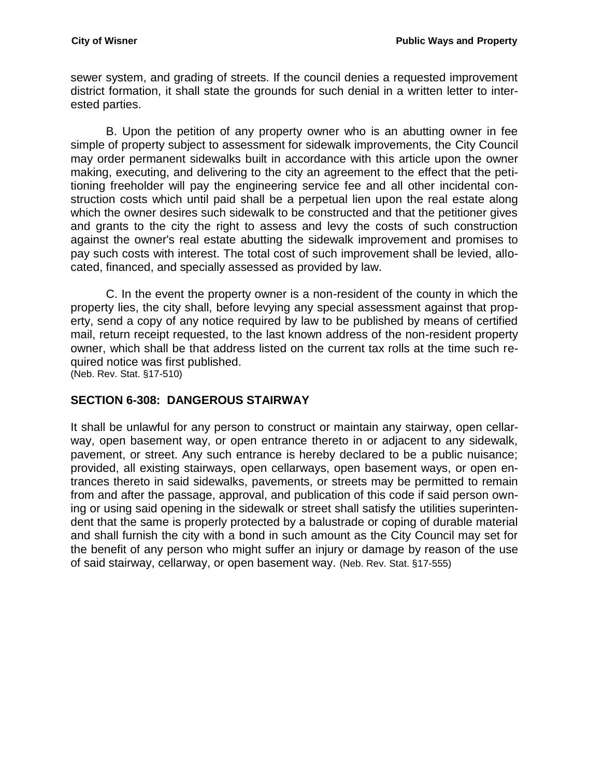sewer system, and grading of streets. If the council denies a requested improvement district formation, it shall state the grounds for such denial in a written letter to interested parties.

B. Upon the petition of any property owner who is an abutting owner in fee simple of property subject to assessment for sidewalk improvements, the City Council may order permanent sidewalks built in accordance with this article upon the owner making, executing, and delivering to the city an agreement to the effect that the petitioning freeholder will pay the engineering service fee and all other incidental construction costs which until paid shall be a perpetual lien upon the real estate along which the owner desires such sidewalk to be constructed and that the petitioner gives and grants to the city the right to assess and levy the costs of such construction against the owner's real estate abutting the sidewalk improvement and promises to pay such costs with interest. The total cost of such improvement shall be levied, allocated, financed, and specially assessed as provided by law.

C. In the event the property owner is a non-resident of the county in which the property lies, the city shall, before levying any special assessment against that property, send a copy of any notice required by law to be published by means of certified mail, return receipt requested, to the last known address of the non-resident property owner, which shall be that address listed on the current tax rolls at the time such required notice was first published.

(Neb. Rev. Stat. §17-510)

### <span id="page-25-0"></span>**SECTION 6-308: DANGEROUS STAIRWAY**

It shall be unlawful for any person to construct or maintain any stairway, open cellarway, open basement way, or open entrance thereto in or adjacent to any sidewalk, pavement, or street. Any such entrance is hereby declared to be a public nuisance; provided, all existing stairways, open cellarways, open basement ways, or open entrances thereto in said sidewalks, pavements, or streets may be permitted to remain from and after the passage, approval, and publication of this code if said person owning or using said opening in the sidewalk or street shall satisfy the utilities superintendent that the same is properly protected by a balustrade or coping of durable material and shall furnish the city with a bond in such amount as the City Council may set for the benefit of any person who might suffer an injury or damage by reason of the use of said stairway, cellarway, or open basement way. (Neb. Rev. Stat. §17-555)